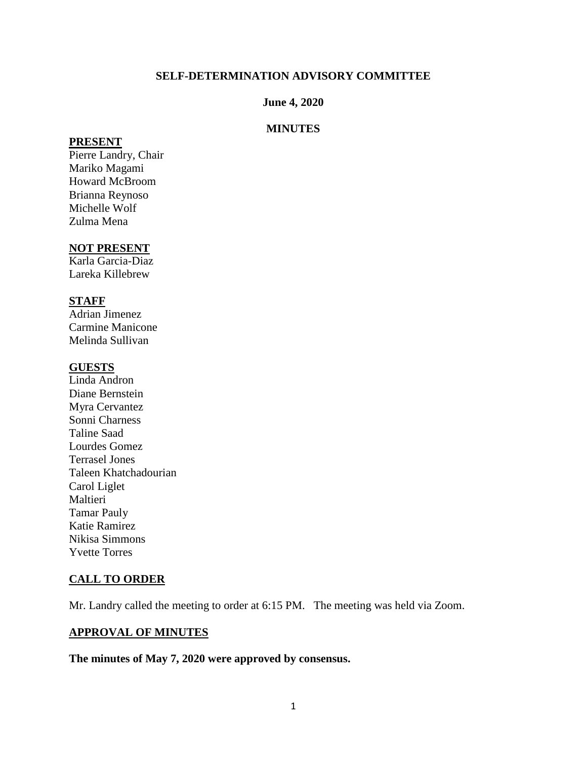#### **SELF-DETERMINATION ADVISORY COMMITTEE**

#### **June 4, 2020**

### **MINUTES**

#### **PRESENT**

Pierre Landry, Chair Mariko Magami Howard McBroom Brianna Reynoso Michelle Wolf Zulma Mena

#### **NOT PRESENT**

Karla Garcia-Diaz Lareka Killebrew

### **STAFF**

Adrian Jimenez Carmine Manicone Melinda Sullivan

#### **GUESTS**

Linda Andron Diane Bernstein Myra Cervantez Sonni Charness Taline Saad Lourdes Gomez Terrasel Jones Taleen Khatchadourian Carol Liglet Maltieri Tamar Pauly Katie Ramirez Nikisa Simmons Yvette Torres

### **CALL TO ORDER**

Mr. Landry called the meeting to order at 6:15 PM. The meeting was held via Zoom.

### **APPROVAL OF MINUTES**

**The minutes of May 7, 2020 were approved by consensus.**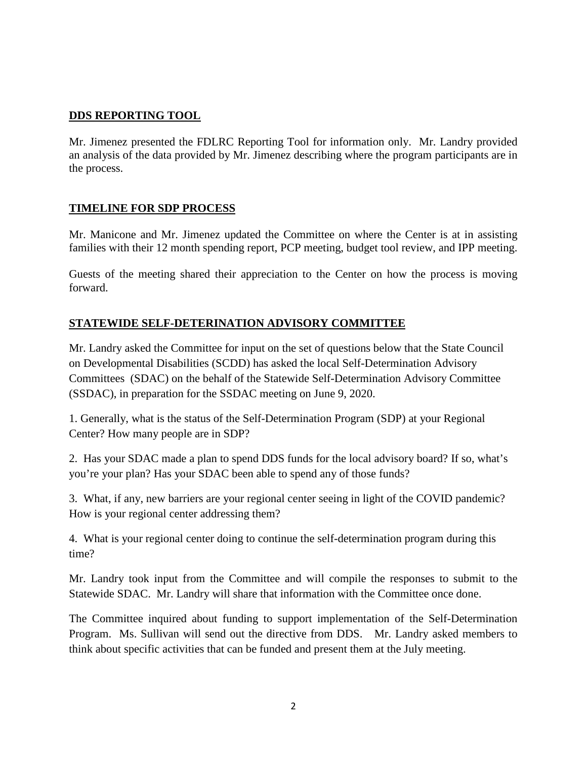## **DDS REPORTING TOOL**

Mr. Jimenez presented the FDLRC Reporting Tool for information only. Mr. Landry provided an analysis of the data provided by Mr. Jimenez describing where the program participants are in the process.

## **TIMELINE FOR SDP PROCESS**

Mr. Manicone and Mr. Jimenez updated the Committee on where the Center is at in assisting families with their 12 month spending report, PCP meeting, budget tool review, and IPP meeting.

Guests of the meeting shared their appreciation to the Center on how the process is moving forward.

## **STATEWIDE SELF-DETERINATION ADVISORY COMMITTEE**

Mr. Landry asked the Committee for input on the set of questions below that the State Council on Developmental Disabilities (SCDD) has asked the local Self-Determination Advisory Committees (SDAC) on the behalf of the Statewide Self-Determination Advisory Committee (SSDAC), in preparation for the SSDAC meeting on June 9, 2020.

1. Generally, what is the status of the Self-Determination Program (SDP) at your Regional Center? How many people are in SDP?

2. Has your SDAC made a plan to spend DDS funds for the local advisory board? If so, what's you're your plan? Has your SDAC been able to spend any of those funds?

3. What, if any, new barriers are your regional center seeing in light of the COVID pandemic? How is your regional center addressing them?

4. What is your regional center doing to continue the self-determination program during this time?

Mr. Landry took input from the Committee and will compile the responses to submit to the Statewide SDAC. Mr. Landry will share that information with the Committee once done.

The Committee inquired about funding to support implementation of the Self-Determination Program. Ms. Sullivan will send out the directive from DDS. Mr. Landry asked members to think about specific activities that can be funded and present them at the July meeting.